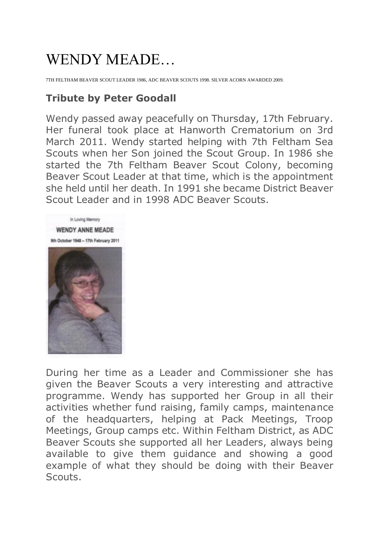## WENDY MEADE…

7TH FELTHAM BEAVER SCOUT LEADER 1986, ADC BEAVER SCOUTS 1998. SILVER ACORN AWARDED 2009.

## **Tribute by Peter Goodall**

Wendy passed away peacefully on Thursday, 17th February. Her funeral took place at Hanworth Crematorium on 3rd March 2011. Wendy started helping with 7th Feltham Sea Scouts when her Son joined the Scout Group. In 1986 she started the 7th Feltham Beaver Scout Colony, becoming Beaver Scout Leader at that time, which is the appointment she held until her death. In 1991 she became District Beaver Scout Leader and in 1998 ADC Beaver Scouts.



During her time as a Leader and Commissioner she has given the Beaver Scouts a very interesting and attractive programme. Wendy has supported her Group in all their activities whether fund raising, family camps, maintenance of the headquarters, helping at Pack Meetings, Troop Meetings, Group camps etc. Within Feltham District, as ADC Beaver Scouts she supported all her Leaders, always being available to give them guidance and showing a good example of what they should be doing with their Beaver Scouts.